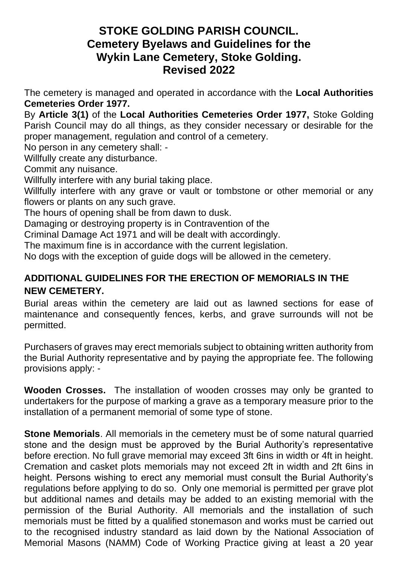## **STOKE GOLDING PARISH COUNCIL. Cemetery Byelaws and Guidelines for the Wykin Lane Cemetery, Stoke Golding. Revised 2022**

The cemetery is managed and operated in accordance with the **Local Authorities Cemeteries Order 1977.**

By **Article 3(1)** of the **Local Authorities Cemeteries Order 1977,** Stoke Golding Parish Council may do all things, as they consider necessary or desirable for the proper management, regulation and control of a cemetery.

No person in any cemetery shall: -

Willfully create any disturbance.

Commit any nuisance.

Willfully interfere with any burial taking place.

Willfully interfere with any grave or vault or tombstone or other memorial or any flowers or plants on any such grave.

The hours of opening shall be from dawn to dusk.

Damaging or destroying property is in Contravention of the

Criminal Damage Act 1971 and will be dealt with accordingly.

The maximum fine is in accordance with the current legislation.

No dogs with the exception of guide dogs will be allowed in the cemetery.

## **ADDITIONAL GUIDELINES FOR THE ERECTION OF MEMORIALS IN THE NEW CEMETERY.**

Burial areas within the cemetery are laid out as lawned sections for ease of maintenance and consequently fences, kerbs, and grave surrounds will not be permitted.

Purchasers of graves may erect memorials subject to obtaining written authority from the Burial Authority representative and by paying the appropriate fee. The following provisions apply: -

**Wooden Crosses.** The installation of wooden crosses may only be granted to undertakers for the purpose of marking a grave as a temporary measure prior to the installation of a permanent memorial of some type of stone.

**Stone Memorials**. All memorials in the cemetery must be of some natural quarried stone and the design must be approved by the Burial Authority's representative before erection. No full grave memorial may exceed 3ft 6ins in width or 4ft in height. Cremation and casket plots memorials may not exceed 2ft in width and 2ft 6ins in height. Persons wishing to erect any memorial must consult the Burial Authority's regulations before applying to do so. Only one memorial is permitted per grave plot but additional names and details may be added to an existing memorial with the permission of the Burial Authority. All memorials and the installation of such memorials must be fitted by a qualified stonemason and works must be carried out to the recognised industry standard as laid down by the National Association of Memorial Masons (NAMM) Code of Working Practice giving at least a 20 year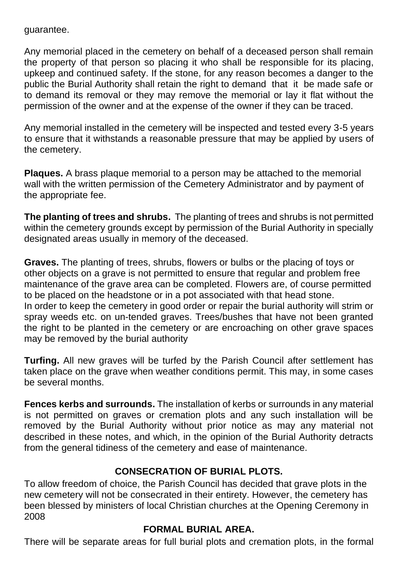guarantee.

Any memorial placed in the cemetery on behalf of a deceased person shall remain the property of that person so placing it who shall be responsible for its placing, upkeep and continued safety. If the stone, for any reason becomes a danger to the public the Burial Authority shall retain the right to demand that it be made safe or to demand its removal or they may remove the memorial or lay it flat without the permission of the owner and at the expense of the owner if they can be traced.

Any memorial installed in the cemetery will be inspected and tested every 3-5 years to ensure that it withstands a reasonable pressure that may be applied by users of the cemetery.

**Plaques.** A brass plaque memorial to a person may be attached to the memorial wall with the written permission of the Cemetery Administrator and by payment of the appropriate fee.

**The planting of trees and shrubs.** The planting of trees and shrubs is not permitted within the cemetery grounds except by permission of the Burial Authority in specially designated areas usually in memory of the deceased.

**Graves.** The planting of trees, shrubs, flowers or bulbs or the placing of toys or other objects on a grave is not permitted to ensure that regular and problem free maintenance of the grave area can be completed. Flowers are, of course permitted to be placed on the headstone or in a pot associated with that head stone. In order to keep the cemetery in good order or repair the burial authority will strim or spray weeds etc. on un-tended graves. Trees/bushes that have not been granted the right to be planted in the cemetery or are encroaching on other grave spaces may be removed by the burial authority

**Turfing.** All new graves will be turfed by the Parish Council after settlement has taken place on the grave when weather conditions permit. This may, in some cases be several months.

**Fences kerbs and surrounds.** The installation of kerbs or surrounds in any material is not permitted on graves or cremation plots and any such installation will be removed by the Burial Authority without prior notice as may any material not described in these notes, and which, in the opinion of the Burial Authority detracts from the general tidiness of the cemetery and ease of maintenance.

## **CONSECRATION OF BURIAL PLOTS.**

To allow freedom of choice, the Parish Council has decided that grave plots in the new cemetery will not be consecrated in their entirety. However, the cemetery has been blessed by ministers of local Christian churches at the Opening Ceremony in 2008

## **FORMAL BURIAL AREA.**

There will be separate areas for full burial plots and cremation plots, in the formal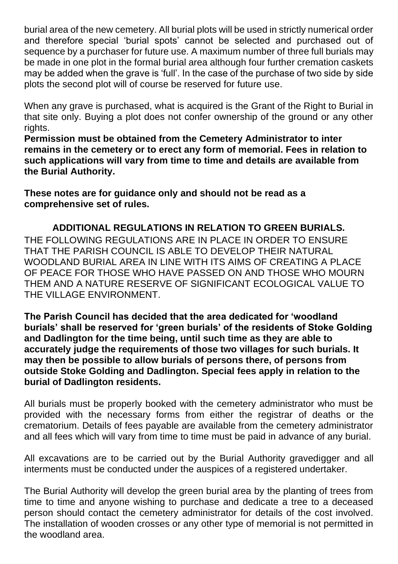burial area of the new cemetery. All burial plots will be used in strictly numerical order and therefore special 'burial spots' cannot be selected and purchased out of sequence by a purchaser for future use. A maximum number of three full burials may be made in one plot in the formal burial area although four further cremation caskets may be added when the grave is 'full'. In the case of the purchase of two side by side plots the second plot will of course be reserved for future use.

When any grave is purchased, what is acquired is the Grant of the Right to Burial in that site only. Buying a plot does not confer ownership of the ground or any other rights.

**Permission must be obtained from the Cemetery Administrator to inter remains in the cemetery or to erect any form of memorial. Fees in relation to such applications will vary from time to time and details are available from the Burial Authority.**

**These notes are for guidance only and should not be read as a comprehensive set of rules.**

**ADDITIONAL REGULATIONS IN RELATION TO GREEN BURIALS.** THE FOLLOWING REGULATIONS ARE IN PLACE IN ORDER TO ENSURE THAT THE PARISH COUNCIL IS ABLE TO DEVELOP THEIR NATURAL WOODLAND BURIAL AREA IN LINE WITH ITS AIMS OF CREATING A PLACE OF PEACE FOR THOSE WHO HAVE PASSED ON AND THOSE WHO MOURN THEM AND A NATURE RESERVE OF SIGNIFICANT ECOLOGICAL VALUE TO THE VILLAGE ENVIRONMENT.

**The Parish Council has decided that the area dedicated for 'woodland burials' shall be reserved for 'green burials' of the residents of Stoke Golding and Dadlington for the time being, until such time as they are able to accurately judge the requirements of those two villages for such burials. It may then be possible to allow burials of persons there, of persons from outside Stoke Golding and Dadlington. Special fees apply in relation to the burial of Dadlington residents.**

All burials must be properly booked with the cemetery administrator who must be provided with the necessary forms from either the registrar of deaths or the crematorium. Details of fees payable are available from the cemetery administrator and all fees which will vary from time to time must be paid in advance of any burial.

All excavations are to be carried out by the Burial Authority gravedigger and all interments must be conducted under the auspices of a registered undertaker.

The Burial Authority will develop the green burial area by the planting of trees from time to time and anyone wishing to purchase and dedicate a tree to a deceased person should contact the cemetery administrator for details of the cost involved. The installation of wooden crosses or any other type of memorial is not permitted in the woodland area.